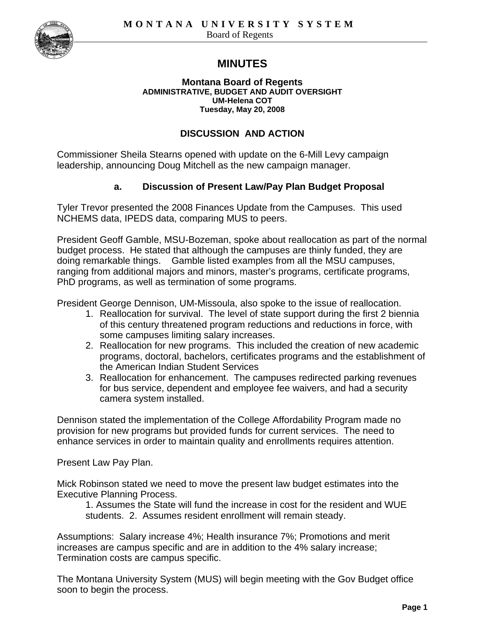

# **MINUTES**

#### **Montana Board of Regents ADMINISTRATIVE, BUDGET AND AUDIT OVERSIGHT UM-Helena COT Tuesday, May 20, 2008**

#### **DISCUSSION AND ACTION**

Commissioner Sheila Stearns opened with update on the 6-Mill Levy campaign leadership, announcing Doug Mitchell as the new campaign manager.

#### **a. Discussion of Present Law/Pay Plan Budget Proposal**

Tyler Trevor presented the 2008 Finances Update from the Campuses. This used NCHEMS data, IPEDS data, comparing MUS to peers.

President Geoff Gamble, MSU-Bozeman, spoke about reallocation as part of the normal budget process. He stated that although the campuses are thinly funded, they are doing remarkable things. Gamble listed examples from all the MSU campuses, ranging from additional majors and minors, master's programs, certificate programs, PhD programs, as well as termination of some programs.

President George Dennison, UM-Missoula, also spoke to the issue of reallocation.

- 1. Reallocation for survival. The level of state support during the first 2 biennia of this century threatened program reductions and reductions in force, with some campuses limiting salary increases.
- 2. Reallocation for new programs. This included the creation of new academic programs, doctoral, bachelors, certificates programs and the establishment of the American Indian Student Services
- 3. Reallocation for enhancement. The campuses redirected parking revenues for bus service, dependent and employee fee waivers, and had a security camera system installed.

Dennison stated the implementation of the College Affordability Program made no provision for new programs but provided funds for current services. The need to enhance services in order to maintain quality and enrollments requires attention.

Present Law Pay Plan.

Mick Robinson stated we need to move the present law budget estimates into the Executive Planning Process.

1. Assumes the State will fund the increase in cost for the resident and WUE students. 2. Assumes resident enrollment will remain steady.

Assumptions: Salary increase 4%; Health insurance 7%; Promotions and merit increases are campus specific and are in addition to the 4% salary increase; Termination costs are campus specific.

The Montana University System (MUS) will begin meeting with the Gov Budget office soon to begin the process.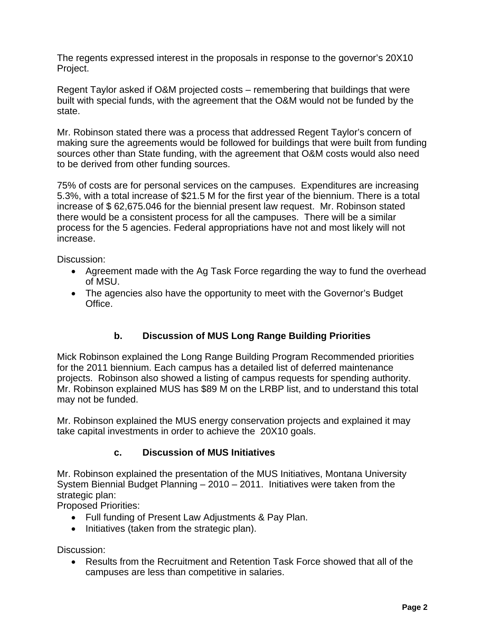The regents expressed interest in the proposals in response to the governor's 20X10 Project.

Regent Taylor asked if O&M projected costs – remembering that buildings that were built with special funds, with the agreement that the O&M would not be funded by the state.

Mr. Robinson stated there was a process that addressed Regent Taylor's concern of making sure the agreements would be followed for buildings that were built from funding sources other than State funding, with the agreement that O&M costs would also need to be derived from other funding sources.

75% of costs are for personal services on the campuses. Expenditures are increasing 5.3%, with a total increase of \$21.5 M for the first year of the biennium. There is a total increase of \$ 62,675.046 for the biennial present law request. Mr. Robinson stated there would be a consistent process for all the campuses. There will be a similar process for the 5 agencies. Federal appropriations have not and most likely will not increase.

Discussion:

- Agreement made with the Ag Task Force regarding the way to fund the overhead of MSU.
- The agencies also have the opportunity to meet with the Governor's Budget Office.

## **b. Discussion of MUS Long Range Building Priorities**

Mick Robinson explained the Long Range Building Program Recommended priorities for the 2011 biennium. Each campus has a detailed list of deferred maintenance projects. Robinson also showed a listing of campus requests for spending authority. Mr. Robinson explained MUS has \$89 M on the LRBP list, and to understand this total may not be funded.

Mr. Robinson explained the MUS energy conservation projects and explained it may take capital investments in order to achieve the 20X10 goals.

### **c. Discussion of MUS Initiatives**

Mr. Robinson explained the presentation of the MUS Initiatives, Montana University System Biennial Budget Planning – 2010 – 2011. Initiatives were taken from the strategic plan:

Proposed Priorities:

- Full funding of Present Law Adjustments & Pay Plan.
- Initiatives (taken from the strategic plan).

Discussion:

• Results from the Recruitment and Retention Task Force showed that all of the campuses are less than competitive in salaries.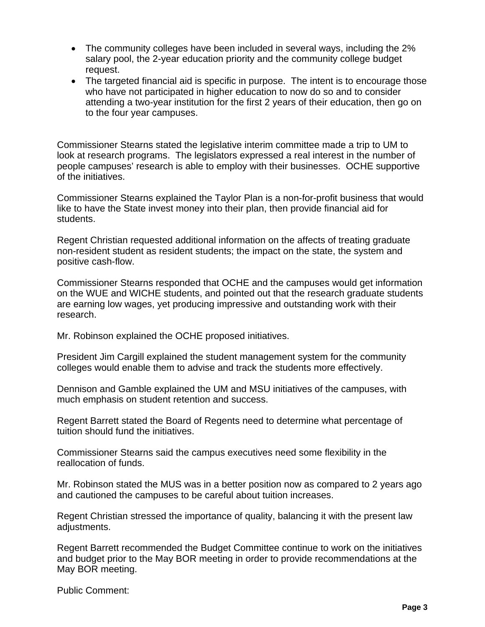- The community colleges have been included in several ways, including the 2% salary pool, the 2-year education priority and the community college budget request.
- The targeted financial aid is specific in purpose. The intent is to encourage those who have not participated in higher education to now do so and to consider attending a two-year institution for the first 2 years of their education, then go on to the four year campuses.

Commissioner Stearns stated the legislative interim committee made a trip to UM to look at research programs. The legislators expressed a real interest in the number of people campuses' research is able to employ with their businesses. OCHE supportive of the initiatives.

Commissioner Stearns explained the Taylor Plan is a non-for-profit business that would like to have the State invest money into their plan, then provide financial aid for students.

Regent Christian requested additional information on the affects of treating graduate non-resident student as resident students; the impact on the state, the system and positive cash-flow.

Commissioner Stearns responded that OCHE and the campuses would get information on the WUE and WICHE students, and pointed out that the research graduate students are earning low wages, yet producing impressive and outstanding work with their research.

Mr. Robinson explained the OCHE proposed initiatives.

President Jim Cargill explained the student management system for the community colleges would enable them to advise and track the students more effectively.

Dennison and Gamble explained the UM and MSU initiatives of the campuses, with much emphasis on student retention and success.

Regent Barrett stated the Board of Regents need to determine what percentage of tuition should fund the initiatives.

Commissioner Stearns said the campus executives need some flexibility in the reallocation of funds.

Mr. Robinson stated the MUS was in a better position now as compared to 2 years ago and cautioned the campuses to be careful about tuition increases.

Regent Christian stressed the importance of quality, balancing it with the present law adjustments.

Regent Barrett recommended the Budget Committee continue to work on the initiatives and budget prior to the May BOR meeting in order to provide recommendations at the May BOR meeting.

Public Comment: